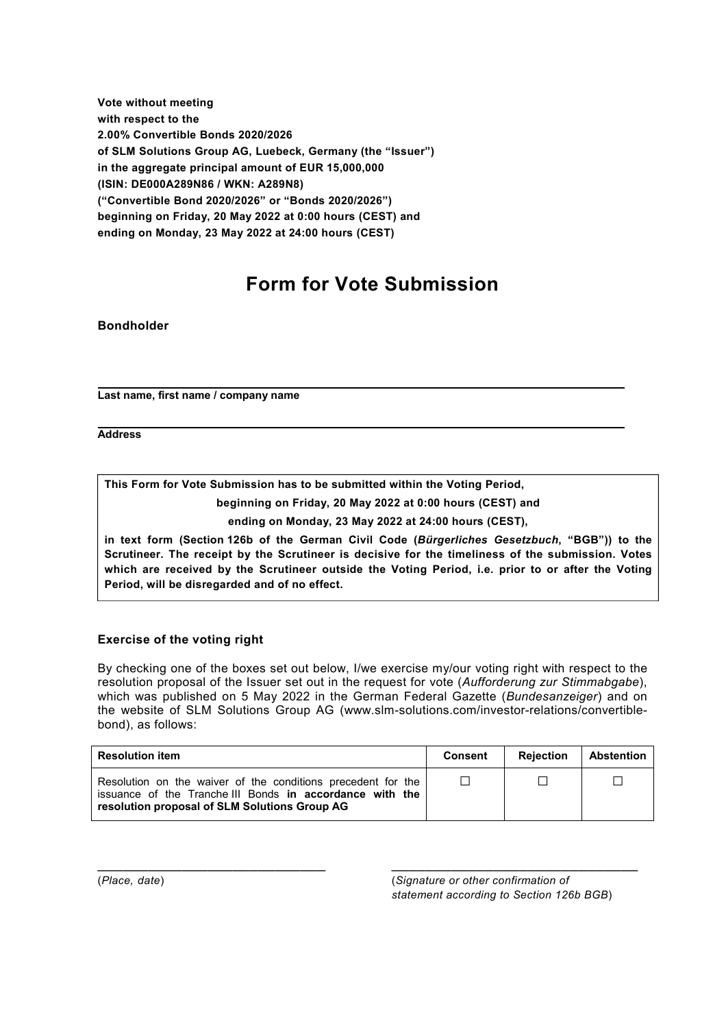**Vote without meeting with respect to the 2.00% Convertible Bonds 2020/2026 of SLM Solutions Group AG, Luebeck, Germany (the "Issuer") in the aggregate principal amount of EUR 15,000,000 (ISIN: DE000A289N86 / WKN: A289N8) ("Convertible Bond 2020/2026" or "Bonds 2020/2026") beginning on Friday, 20 May 2022 at 0:00 hours (CEST) and ending on Monday, 23 May 2022 at 24:00 hours (CEST)** 

# **Form for Vote Submission**

#### **Bondholder**

**Last name, first name / company name** 

**Address** 

**This Form for Vote Submission has to be submitted within the Voting Period, beginning on Friday, 20 May 2022 at 0:00 hours (CEST) and** 

**ending on Monday, 23 May 2022 at 24:00 hours (CEST),** 

**in text form (Section 126b of the German Civil Code (***Bürgerliches Gesetzbuch***, "BGB")) to the Scrutineer. The receipt by the Scrutineer is decisive for the timeliness of the submission. Votes which are received by the Scrutineer outside the Voting Period, i.e. prior to or after the Voting Period, will be disregarded and of no effect.**

#### **Exercise of the voting right**

By checking one of the boxes set out below, I/we exercise my/our voting right with respect to the resolution proposal of the Issuer set out in the request for vote (*Aufforderung zur Stimmabgabe*), which was published on 5 May 2022 in the German Federal Gazette (*Bundesanzeiger*) and on the website of SLM Solutions Group AG (www.slm-solutions.com/investor-relations/convertiblebond), as follows:

| <b>Resolution item</b>                                                                                                                                                    | <b>Consent</b> | <b>Rejection</b> | Abstention |
|---------------------------------------------------------------------------------------------------------------------------------------------------------------------------|----------------|------------------|------------|
| Resolution on the waiver of the conditions precedent for the<br>issuance of the Tranche III Bonds in accordance with the<br>resolution proposal of SLM Solutions Group AG | П              |                  |            |

 $\_$  , and the set of the set of the set of the set of the set of the set of the set of the set of the set of the set of the set of the set of the set of the set of the set of the set of the set of the set of the set of th

(*Place, date*) (*Signature or other confirmation of statement according to Section 126b BGB*)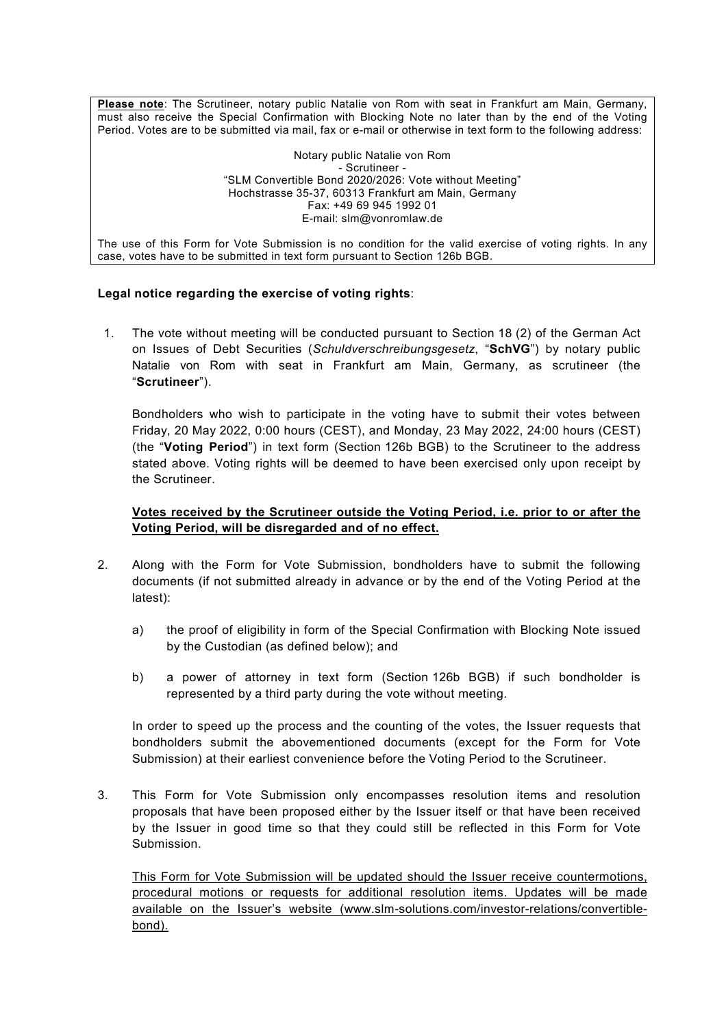**Please note**: The Scrutineer, notary public Natalie von Rom with seat in Frankfurt am Main, Germany, must also receive the Special Confirmation with Blocking Note no later than by the end of the Voting Period. Votes are to be submitted via mail, fax or e-mail or otherwise in text form to the following address:

> Notary public Natalie von Rom - Scrutineer - "SLM Convertible Bond 2020/2026: Vote without Meeting" Hochstrasse 35-37, 60313 Frankfurt am Main, Germany Fax: +49 69 945 1992 01 E-mail: slm@vonromlaw.de

The use of this Form for Vote Submission is no condition for the valid exercise of voting rights. In any case, votes have to be submitted in text form pursuant to Section 126b BGB.

## **Legal notice regarding the exercise of voting rights**:

1. The vote without meeting will be conducted pursuant to Section 18 (2) of the German Act on Issues of Debt Securities (*Schuldverschreibungsgesetz*, "**SchVG**") by notary public Natalie von Rom with seat in Frankfurt am Main, Germany, as scrutineer (the "**Scrutineer**").

Bondholders who wish to participate in the voting have to submit their votes between Friday, 20 May 2022, 0:00 hours (CEST), and Monday, 23 May 2022, 24:00 hours (CEST) (the "**Voting Period**") in text form (Section 126b BGB) to the Scrutineer to the address stated above. Voting rights will be deemed to have been exercised only upon receipt by the Scrutineer.

## **Votes received by the Scrutineer outside the Voting Period, i.e. prior to or after the Voting Period, will be disregarded and of no effect.**

- 2. Along with the Form for Vote Submission, bondholders have to submit the following documents (if not submitted already in advance or by the end of the Voting Period at the latest):
	- a) the proof of eligibility in form of the Special Confirmation with Blocking Note issued by the Custodian (as defined below); and
	- b) a power of attorney in text form (Section 126b BGB) if such bondholder is represented by a third party during the vote without meeting.

In order to speed up the process and the counting of the votes, the Issuer requests that bondholders submit the abovementioned documents (except for the Form for Vote Submission) at their earliest convenience before the Voting Period to the Scrutineer.

3. This Form for Vote Submission only encompasses resolution items and resolution proposals that have been proposed either by the Issuer itself or that have been received by the Issuer in good time so that they could still be reflected in this Form for Vote Submission.

This Form for Vote Submission will be updated should the Issuer receive countermotions, procedural motions or requests for additional resolution items. Updates will be made available on the Issuer's website (www.slm-solutions.com/investor-relations/convertiblebond).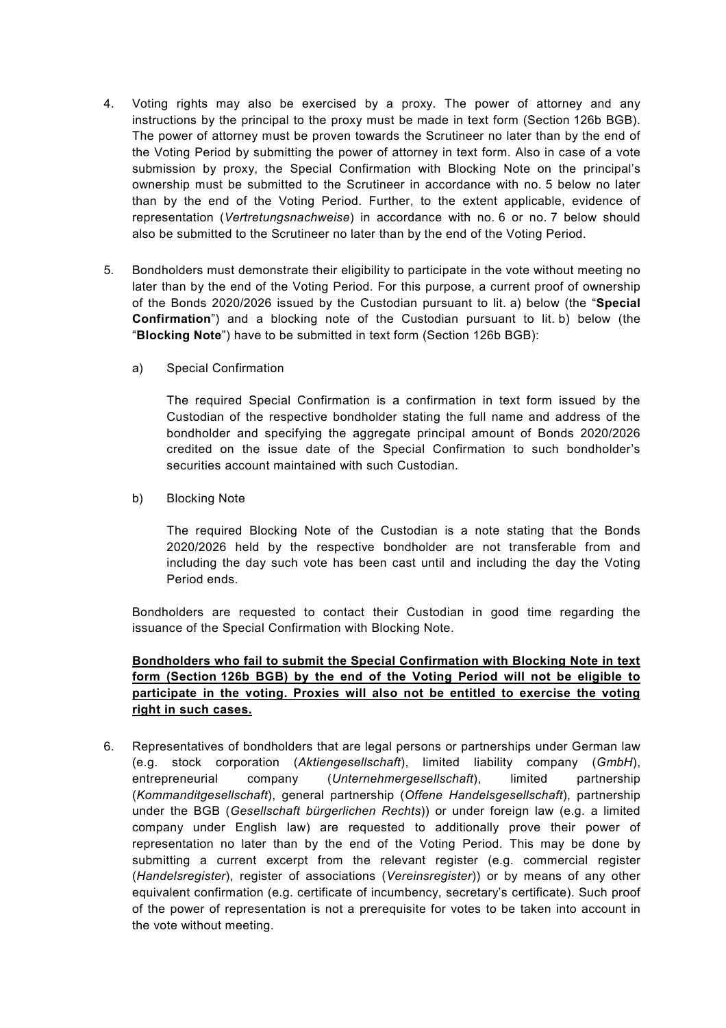- 4. Voting rights may also be exercised by a proxy. The power of attorney and any instructions by the principal to the proxy must be made in text form (Section 126b BGB). The power of attorney must be proven towards the Scrutineer no later than by the end of the Voting Period by submitting the power of attorney in text form. Also in case of a vote submission by proxy, the Special Confirmation with Blocking Note on the principal's ownership must be submitted to the Scrutineer in accordance with no. 5 below no later than by the end of the Voting Period. Further, to the extent applicable, evidence of representation (*Vertretungsnachweise*) in accordance with no. 6 or no. 7 below should also be submitted to the Scrutineer no later than by the end of the Voting Period.
- 5. Bondholders must demonstrate their eligibility to participate in the vote without meeting no later than by the end of the Voting Period. For this purpose, a current proof of ownership of the Bonds 2020/2026 issued by the Custodian pursuant to lit. a) below (the "**Special Confirmation**") and a blocking note of the Custodian pursuant to lit. b) below (the "**Blocking Note**") have to be submitted in text form (Section 126b BGB):
	- a) Special Confirmation

The required Special Confirmation is a confirmation in text form issued by the Custodian of the respective bondholder stating the full name and address of the bondholder and specifying the aggregate principal amount of Bonds 2020/2026 credited on the issue date of the Special Confirmation to such bondholder's securities account maintained with such Custodian.

b) Blocking Note

The required Blocking Note of the Custodian is a note stating that the Bonds 2020/2026 held by the respective bondholder are not transferable from and including the day such vote has been cast until and including the day the Voting Period ends.

Bondholders are requested to contact their Custodian in good time regarding the issuance of the Special Confirmation with Blocking Note.

# **Bondholders who fail to submit the Special Confirmation with Blocking Note in text form (Section 126b BGB) by the end of the Voting Period will not be eligible to participate in the voting. Proxies will also not be entitled to exercise the voting right in such cases.**

6. Representatives of bondholders that are legal persons or partnerships under German law (e.g. stock corporation (*Aktiengesellschaft*), limited liability company (*GmbH*), entrepreneurial company (*Unternehmergesellschaft*), limited partnership (*Kommanditgesellschaft*), general partnership (*Offene Handelsgesellschaft*), partnership under the BGB (*Gesellschaft bürgerlichen Rechts*)) or under foreign law (e.g. a limited company under English law) are requested to additionally prove their power of representation no later than by the end of the Voting Period. This may be done by submitting a current excerpt from the relevant register (e.g. commercial register (*Handelsregister*), register of associations (*Vereinsregister*)) or by means of any other equivalent confirmation (e.g. certificate of incumbency, secretary's certificate). Such proof of the power of representation is not a prerequisite for votes to be taken into account in the vote without meeting.